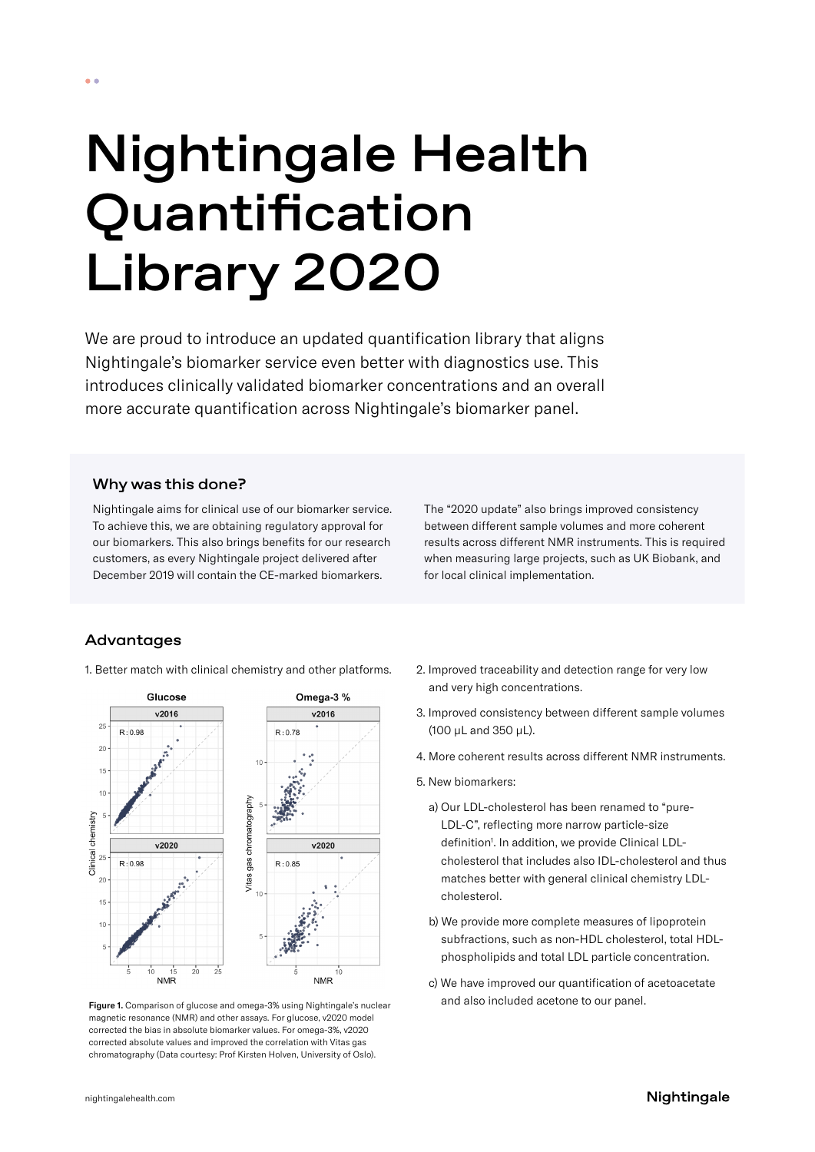# Nightingale Health

# Quantification Library 2020

We are proud to introduce an updated quantification library that aligns Nightingale's biomarker service even better with diagnostics use. This introduces clinically validated biomarker concentrations and an overall more accurate quantification across Nightingale's biomarker panel.

### Why was this done?

Nightingale aims for clinical use of our biomarker service. To achieve this, we are obtaining regulatory approval for our biomarkers. This also brings benefits for our research customers, as every Nightingale project delivered after December 2019 will contain the CE-marked biomarkers.

The "2020 update" also brings improved consistency between different sample volumes and more coherent results across different NMR instruments. This is required when measuring large projects, such as UK Biobank, and for local clinical implementation.

# Advantages

1. Better match with clinical chemistry and other platforms.



and also included acetone to our panel. Figure 1. Comparison of glucose and omega-3% using Nightingale's nuclear magnetic resonance (NMR) and other assays. For glucose, v2020 model corrected the bias in absolute biomarker values. For omega-3%, v2020 corrected absolute values and improved the correlation with Vitas gas chromatography (Data courtesy: Prof Kirsten Holven, University of Oslo).

- 2. Improved traceability and detection range for very low and very high concentrations.
- 3. Improved consistency between different sample volumes (100 µL and 350 µL).
- 4. More coherent results across different NMR instruments.
- 5. New biomarkers:
	- a) Our LDL-cholesterol has been renamed to "pure-LDL-C", reflecting more narrow particle-size definition<sup>1</sup>. In addition, we provide Clinical LDLcholesterol that includes also IDL-cholesterol and thus matches better with general clinical chemistry LDLcholesterol.
	- b) We provide more complete measures of lipoprotein subfractions, such as non-HDL cholesterol, total HDLphospholipids and total LDL particle concentration.
	- c) We have improved our quantification of acetoacetate